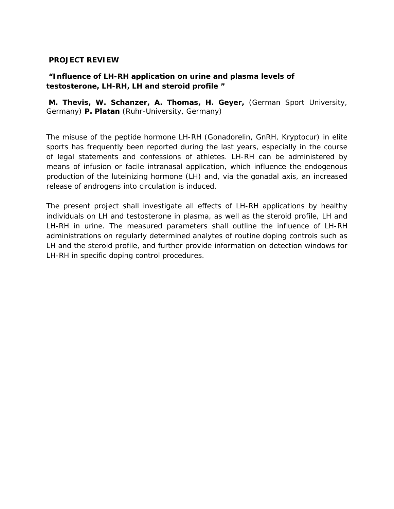## **PROJECT REVIEW**

## **"Influence of LH-RH application on urine and plasma levels of testosterone, LH-RH, LH and steroid profile "**

**M. Thevis, W. Schanzer, A. Thomas, H. Geyer,** (German Sport University, Germany) **P. Platan** (Ruhr-University, Germany)

The misuse of the peptide hormone LH-RH (Gonadorelin, GnRH, Kryptocur) in elite sports has frequently been reported during the last years, especially in the course of legal statements and confessions of athletes. LH-RH can be administered by means of infusion or facile intranasal application, which influence the endogenous production of the luteinizing hormone (LH) and, via the gonadal axis, an increased release of androgens into circulation is induced.

The present project shall investigate all effects of LH-RH applications by healthy individuals on LH and testosterone in plasma, as well as the steroid profile, LH and LH-RH in urine. The measured parameters shall outline the influence of LH-RH administrations on regularly determined analytes of routine doping controls such as LH and the steroid profile, and further provide information on detection windows for LH-RH in specific doping control procedures.